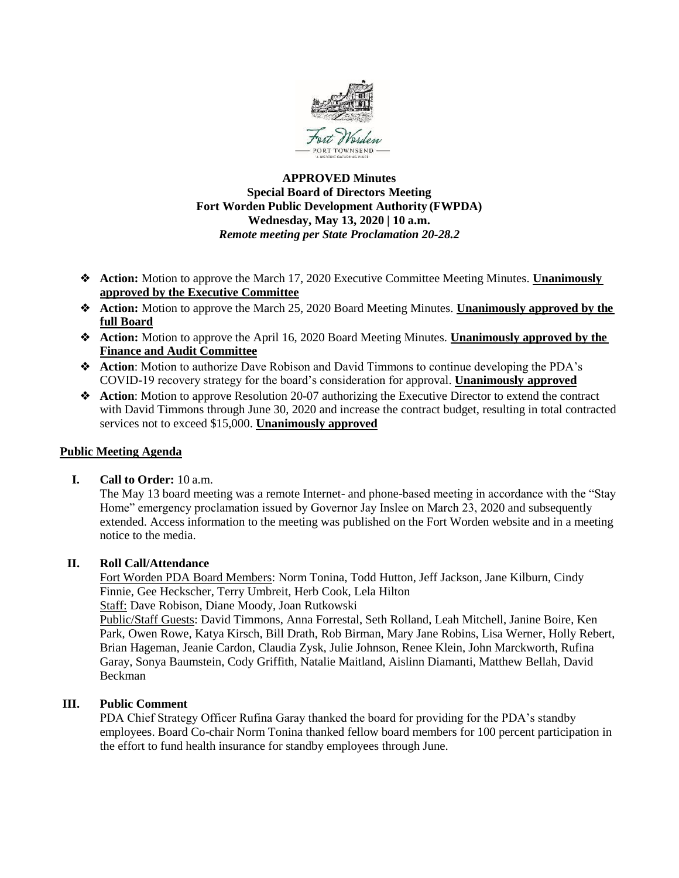

# **APPROVED Minutes Special Board of Directors Meeting Fort Worden Public Development Authority (FWPDA) Wednesday, May 13, 2020 | 10 a.m.** *Remote meeting per State Proclamation 20-28.2*

- ❖ **Action:** Motion to approve the March 17, 2020 Executive Committee Meeting Minutes. **Unanimously approved by the Executive Committee**
- ❖ **Action:** Motion to approve the March 25, 2020 Board Meeting Minutes. **Unanimously approved by the full Board**
- ❖ **Action:** Motion to approve the April 16, 2020 Board Meeting Minutes. **Unanimously approved by the Finance and Audit Committee**
- ❖ **Action**: Motion to authorize Dave Robison and David Timmons to continue developing the PDA's COVID-19 recovery strategy for the board's consideration for approval. **Unanimously approved**
- ❖ **Action**: Motion to approve Resolution 20-07 authorizing the Executive Director to extend the contract with David Timmons through June 30, 2020 and increase the contract budget, resulting in total contracted services not to exceed \$15,000. **Unanimously approved**

# **Public Meeting Agenda**

# **I. Call to Order:** 10 a.m.

The May 13 board meeting was a remote Internet- and phone-based meeting in accordance with the "Stay Home" emergency proclamation issued by Governor Jay Inslee on March 23, 2020 and subsequently extended. Access information to the meeting was published on the Fort Worden website and in a meeting notice to the media.

# **II. Roll Call/Attendance**

Fort Worden PDA Board Members: Norm Tonina, Todd Hutton, Jeff Jackson, Jane Kilburn, Cindy Finnie, Gee Heckscher, Terry Umbreit, Herb Cook, Lela Hilton Staff: Dave Robison, Diane Moody, Joan Rutkowski

Public/Staff Guests: David Timmons, Anna Forrestal, Seth Rolland, Leah Mitchell, Janine Boire, Ken Park, Owen Rowe, Katya Kirsch, Bill Drath, Rob Birman, Mary Jane Robins, Lisa Werner, Holly Rebert, Brian Hageman, Jeanie Cardon, Claudia Zysk, Julie Johnson, Renee Klein, John Marckworth, Rufina Garay, Sonya Baumstein, Cody Griffith, Natalie Maitland, Aislinn Diamanti, Matthew Bellah, David Beckman

# **III. Public Comment**

PDA Chief Strategy Officer Rufina Garay thanked the board for providing for the PDA's standby employees. Board Co-chair Norm Tonina thanked fellow board members for 100 percent participation in the effort to fund health insurance for standby employees through June.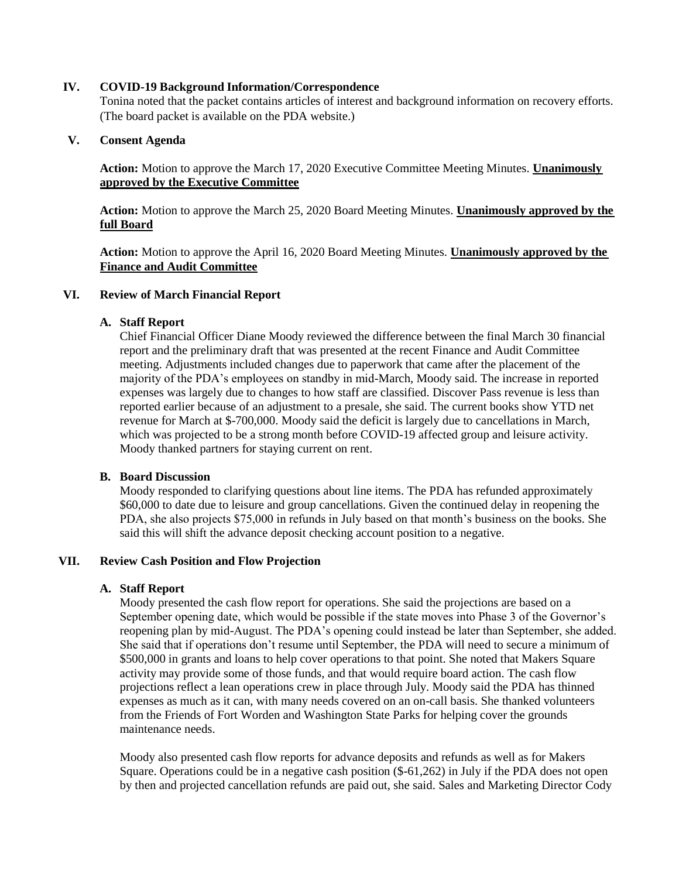### **IV. COVID-19 Background Information/Correspondence**

Tonina noted that the packet contains articles of interest and background information on recovery efforts. (The board packet is available on the PDA website.)

# **V. Consent Agenda**

**Action:** Motion to approve the March 17, 2020 Executive Committee Meeting Minutes. **Unanimously approved by the Executive Committee**

**Action:** Motion to approve the March 25, 2020 Board Meeting Minutes. **Unanimously approved by the full Board**

**Action:** Motion to approve the April 16, 2020 Board Meeting Minutes. **Unanimously approved by the Finance and Audit Committee**

# **VI. Review of March Financial Report**

# **A. Staff Report**

Chief Financial Officer Diane Moody reviewed the difference between the final March 30 financial report and the preliminary draft that was presented at the recent Finance and Audit Committee meeting. Adjustments included changes due to paperwork that came after the placement of the majority of the PDA's employees on standby in mid-March, Moody said. The increase in reported expenses was largely due to changes to how staff are classified. Discover Pass revenue is less than reported earlier because of an adjustment to a presale, she said. The current books show YTD net revenue for March at \$-700,000. Moody said the deficit is largely due to cancellations in March, which was projected to be a strong month before COVID-19 affected group and leisure activity. Moody thanked partners for staying current on rent.

# **B. Board Discussion**

Moody responded to clarifying questions about line items. The PDA has refunded approximately \$60,000 to date due to leisure and group cancellations. Given the continued delay in reopening the PDA, she also projects \$75,000 in refunds in July based on that month's business on the books. She said this will shift the advance deposit checking account position to a negative.

### **VII. Review Cash Position and Flow Projection**

# **A. Staff Report**

Moody presented the cash flow report for operations. She said the projections are based on a September opening date, which would be possible if the state moves into Phase 3 of the Governor's reopening plan by mid-August. The PDA's opening could instead be later than September, she added. She said that if operations don't resume until September, the PDA will need to secure a minimum of \$500,000 in grants and loans to help cover operations to that point. She noted that Makers Square activity may provide some of those funds, and that would require board action. The cash flow projections reflect a lean operations crew in place through July. Moody said the PDA has thinned expenses as much as it can, with many needs covered on an on-call basis. She thanked volunteers from the Friends of Fort Worden and Washington State Parks for helping cover the grounds maintenance needs.

Moody also presented cash flow reports for advance deposits and refunds as well as for Makers Square. Operations could be in a negative cash position (\$-61,262) in July if the PDA does not open by then and projected cancellation refunds are paid out, she said. Sales and Marketing Director Cody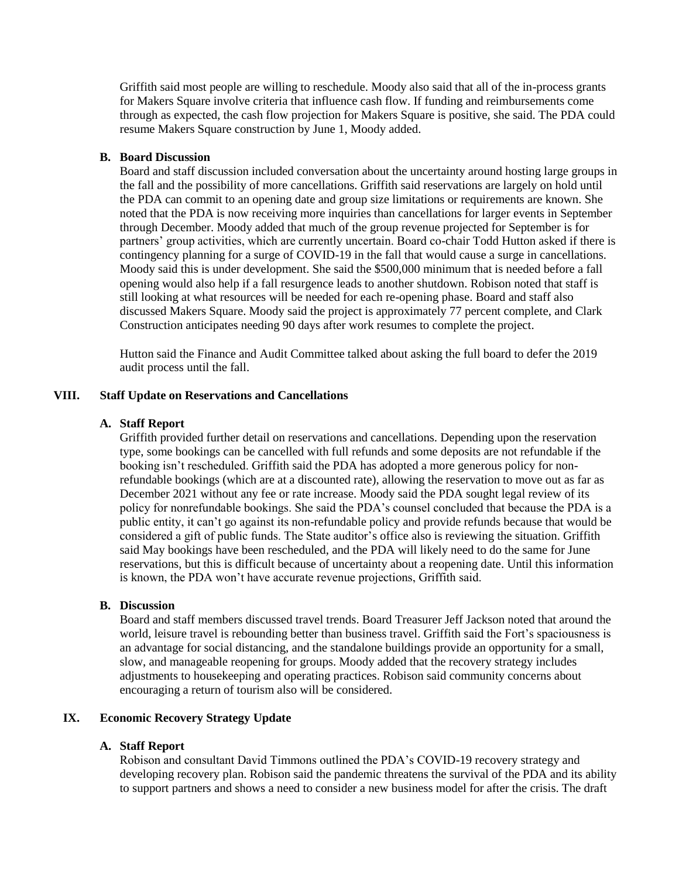Griffith said most people are willing to reschedule. Moody also said that all of the in-process grants for Makers Square involve criteria that influence cash flow. If funding and reimbursements come through as expected, the cash flow projection for Makers Square is positive, she said. The PDA could resume Makers Square construction by June 1, Moody added.

### **B. Board Discussion**

Board and staff discussion included conversation about the uncertainty around hosting large groups in the fall and the possibility of more cancellations. Griffith said reservations are largely on hold until the PDA can commit to an opening date and group size limitations or requirements are known. She noted that the PDA is now receiving more inquiries than cancellations for larger events in September through December. Moody added that much of the group revenue projected for September is for partners' group activities, which are currently uncertain. Board co-chair Todd Hutton asked if there is contingency planning for a surge of COVID-19 in the fall that would cause a surge in cancellations. Moody said this is under development. She said the \$500,000 minimum that is needed before a fall opening would also help if a fall resurgence leads to another shutdown. Robison noted that staff is still looking at what resources will be needed for each re-opening phase. Board and staff also discussed Makers Square. Moody said the project is approximately 77 percent complete, and Clark Construction anticipates needing 90 days after work resumes to complete the project.

Hutton said the Finance and Audit Committee talked about asking the full board to defer the 2019 audit process until the fall.

### **VIII. Staff Update on Reservations and Cancellations**

### **A. Staff Report**

Griffith provided further detail on reservations and cancellations. Depending upon the reservation type, some bookings can be cancelled with full refunds and some deposits are not refundable if the booking isn't rescheduled. Griffith said the PDA has adopted a more generous policy for nonrefundable bookings (which are at a discounted rate), allowing the reservation to move out as far as December 2021 without any fee or rate increase. Moody said the PDA sought legal review of its policy for nonrefundable bookings. She said the PDA's counsel concluded that because the PDA is a public entity, it can't go against its non-refundable policy and provide refunds because that would be considered a gift of public funds. The State auditor's office also is reviewing the situation. Griffith said May bookings have been rescheduled, and the PDA will likely need to do the same for June reservations, but this is difficult because of uncertainty about a reopening date. Until this information is known, the PDA won't have accurate revenue projections, Griffith said.

### **B. Discussion**

Board and staff members discussed travel trends. Board Treasurer Jeff Jackson noted that around the world, leisure travel is rebounding better than business travel. Griffith said the Fort's spaciousness is an advantage for social distancing, and the standalone buildings provide an opportunity for a small, slow, and manageable reopening for groups. Moody added that the recovery strategy includes adjustments to housekeeping and operating practices. Robison said community concerns about encouraging a return of tourism also will be considered.

### **IX. Economic Recovery Strategy Update**

### **A. Staff Report**

Robison and consultant David Timmons outlined the PDA's COVID-19 recovery strategy and developing recovery plan. Robison said the pandemic threatens the survival of the PDA and its ability to support partners and shows a need to consider a new business model for after the crisis. The draft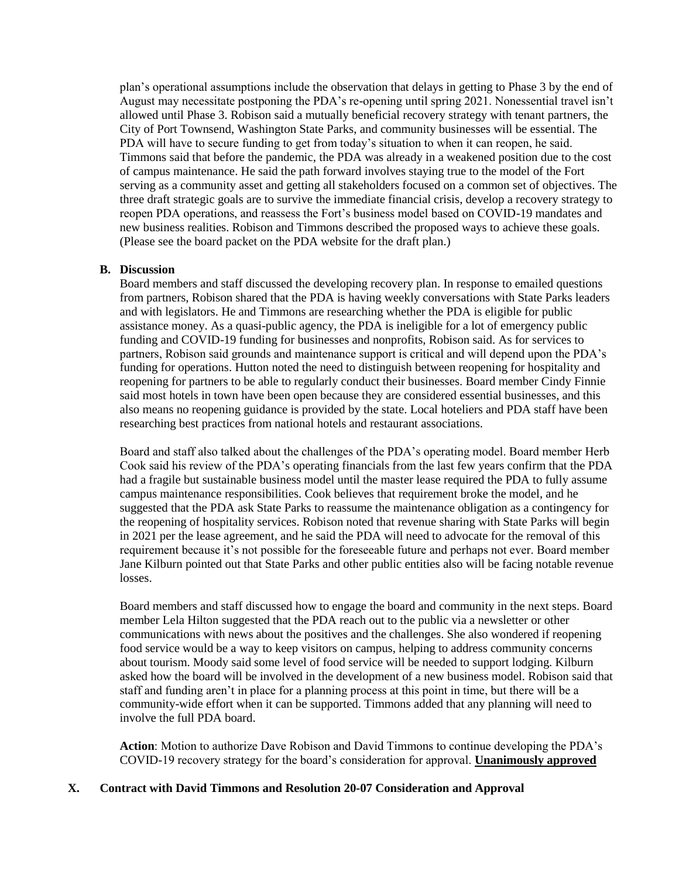plan's operational assumptions include the observation that delays in getting to Phase 3 by the end of August may necessitate postponing the PDA's re-opening until spring 2021. Nonessential travel isn't allowed until Phase 3. Robison said a mutually beneficial recovery strategy with tenant partners, the City of Port Townsend, Washington State Parks, and community businesses will be essential. The PDA will have to secure funding to get from today's situation to when it can reopen, he said. Timmons said that before the pandemic, the PDA was already in a weakened position due to the cost of campus maintenance. He said the path forward involves staying true to the model of the Fort serving as a community asset and getting all stakeholders focused on a common set of objectives. The three draft strategic goals are to survive the immediate financial crisis, develop a recovery strategy to reopen PDA operations, and reassess the Fort's business model based on COVID-19 mandates and new business realities. Robison and Timmons described the proposed ways to achieve these goals. (Please see the board packet on the PDA website for the draft plan.)

### **B. Discussion**

Board members and staff discussed the developing recovery plan. In response to emailed questions from partners, Robison shared that the PDA is having weekly conversations with State Parks leaders and with legislators. He and Timmons are researching whether the PDA is eligible for public assistance money. As a quasi-public agency, the PDA is ineligible for a lot of emergency public funding and COVID-19 funding for businesses and nonprofits, Robison said. As for services to partners, Robison said grounds and maintenance support is critical and will depend upon the PDA's funding for operations. Hutton noted the need to distinguish between reopening for hospitality and reopening for partners to be able to regularly conduct their businesses. Board member Cindy Finnie said most hotels in town have been open because they are considered essential businesses, and this also means no reopening guidance is provided by the state. Local hoteliers and PDA staff have been researching best practices from national hotels and restaurant associations.

Board and staff also talked about the challenges of the PDA's operating model. Board member Herb Cook said his review of the PDA's operating financials from the last few years confirm that the PDA had a fragile but sustainable business model until the master lease required the PDA to fully assume campus maintenance responsibilities. Cook believes that requirement broke the model, and he suggested that the PDA ask State Parks to reassume the maintenance obligation as a contingency for the reopening of hospitality services. Robison noted that revenue sharing with State Parks will begin in 2021 per the lease agreement, and he said the PDA will need to advocate for the removal of this requirement because it's not possible for the foreseeable future and perhaps not ever. Board member Jane Kilburn pointed out that State Parks and other public entities also will be facing notable revenue losses.

Board members and staff discussed how to engage the board and community in the next steps. Board member Lela Hilton suggested that the PDA reach out to the public via a newsletter or other communications with news about the positives and the challenges. She also wondered if reopening food service would be a way to keep visitors on campus, helping to address community concerns about tourism. Moody said some level of food service will be needed to support lodging. Kilburn asked how the board will be involved in the development of a new business model. Robison said that staff and funding aren't in place for a planning process at this point in time, but there will be a community-wide effort when it can be supported. Timmons added that any planning will need to involve the full PDA board.

**Action**: Motion to authorize Dave Robison and David Timmons to continue developing the PDA's COVID-19 recovery strategy for the board's consideration for approval. **Unanimously approved**

### **X. Contract with David Timmons and Resolution 20-07 Consideration and Approval**